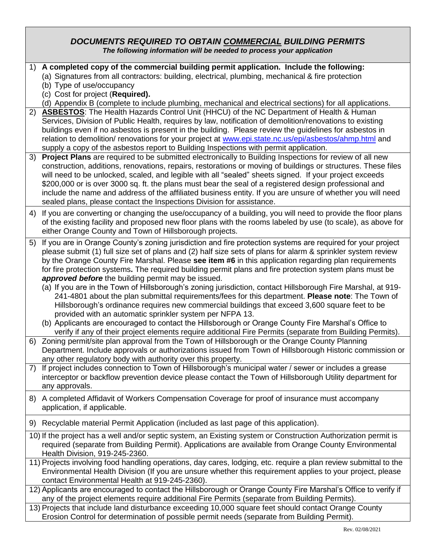### *DOCUMENTS REQUIRED TO OBTAIN COMMERCIAL BUILDING PERMITS The following information will be needed to process your application*

- 1) **A completed copy of the commercial building permit application. Include the following:**
	- (a) Signatures from all contractors: building, electrical, plumbing, mechanical & fire protection
		- (b) Type of use/occupancy
		- (c) Cost for project (**Required).**
- (d) Appendix B (complete to include plumbing, mechanical and electrical sections) for all applications.
- 2) **ASBESTOS**: The Health Hazards Control Unit (HHCU) of the NC Department of Health & Human Services, Division of Public Health, requires by law, notification of demolition/renovations to existing buildings even if no asbestos is present in the building. Please review the guidelines for asbestos in relation to demolition/ renovations for your project at [www.epi.state.nc.us/epi/asbestos/ahmp.html](http://www.epi.state.nc.us/epi/asbestos/ahmp.html) and supply a copy of the asbestos report to Building Inspections with permit application.
- 3) **Project Plans** are required to be submitted electronically to Building Inspections for review of all new construction, additions, renovations, repairs, restorations or moving of buildings or structures. These files will need to be unlocked, scaled, and legible with all "sealed" sheets signed. If your project exceeds \$200,000 or is over 3000 sq. ft. the plans must bear the seal of a registered design professional and include the name and address of the affiliated business entity. If you are unsure of whether you will need sealed plans, please contact the Inspections Division for assistance.
- 4) If you are converting or changing the use/occupancy of a building, you will need to provide the floor plans of the existing facility and proposed new floor plans with the rooms labeled by use (to scale), as above for either Orange County and Town of Hillsborough projects.
- 5) If you are in Orange County's zoning jurisdiction and fire protection systems are required for your project please submit (1) full size set of plans and (2) half size sets of plans for alarm & sprinkler system review by the Orange County Fire Marshal. Please **see item #6** in this application regarding plan requirements for fire protection systems**.** The required building permit plans and fire protection system plans must be *approved before* the building permit may be issued.
	- (a) If you are in the Town of Hillsborough's zoning jurisdiction, contact Hillsborough Fire Marshal, at 919- 241-4801 about the plan submittal requirements/fees for this department. **Please note**: The Town of Hillsborough's ordinance requires new commercial buildings that exceed 3,600 square feet to be provided with an automatic sprinkler system per NFPA 13.
	- (b) Applicants are encouraged to contact the Hillsborough or Orange County Fire Marshal's Office to verify if any of their project elements require additional Fire Permits (separate from Building Permits).
- 6) Zoning permit/site plan approval from the Town of Hillsborough or the Orange County Planning Department. Include approvals or authorizations issued from Town of Hillsborough Historic commission or any other regulatory body with authority over this property.
- 7) If project includes connection to Town of Hillsborough's municipal water / sewer or includes a grease interceptor or backflow prevention device please contact the Town of Hillsborough Utility department for any approvals.
- 8) A completed Affidavit of Workers Compensation Coverage for proof of insurance must accompany application, if applicable.
- 9) Recyclable material Permit Application (included as last page of this application).
- 10) If the project has a well and/or septic system, an Existing system or Construction Authorization permit is required (separate from Building Permit). Applications are available from Orange County Environmental Health Division, 919-245-2360.
- 11) Projects involving food handling operations, day cares, lodging, etc. require a plan review submittal to the Environmental Health Division (If you are unsure whether this requirement applies to your project, please contact Environmental Health at 919-245-2360).
- 12) Applicants are encouraged to contact the Hillsborough or Orange County Fire Marshal's Office to verify if any of the project elements require additional Fire Permits (separate from Building Permits).
- 13) Projects that include land disturbance exceeding 10,000 square feet should contact Orange County Erosion Control for determination of possible permit needs (separate from Building Permit).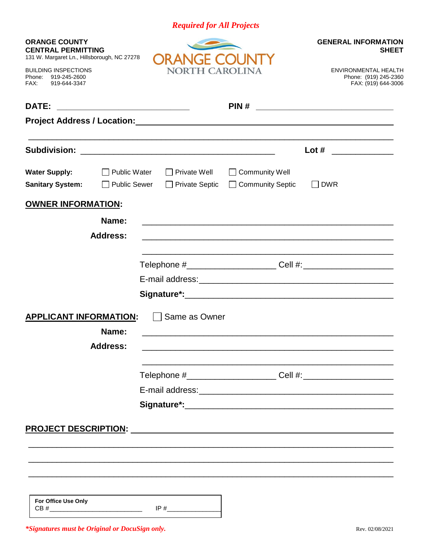| <b>Required for All Projects</b> |  |  |
|----------------------------------|--|--|
|                                  |  |  |

| <b>ORANGE COUNTY</b><br><b>CENTRAL PERMITTING</b><br>131 W. Margaret Ln., Hillsborough, NC 27278<br><b>BUILDING INSPECTIONS</b><br>Phone:<br>919-245-2600<br>FAX:<br>919-644-3347 | IR A<br>$+$ COL<br>NORTH CAROLINA            |                                                             | <b>GENERAL INFORMATION</b><br><b>SHEET</b><br>ENVIRONMENTAL HEALTH<br>Phone: (919) 245-2360<br>FAX: (919) 644-3006            |
|-----------------------------------------------------------------------------------------------------------------------------------------------------------------------------------|----------------------------------------------|-------------------------------------------------------------|-------------------------------------------------------------------------------------------------------------------------------|
| DATE:                                                                                                                                                                             |                                              | PIN#                                                        | <u> 2000 - Jan James James Jan James James James James James James James James James James James James James James Ja</u>     |
|                                                                                                                                                                                   |                                              |                                                             |                                                                                                                               |
| <b>Subdivision:</b>                                                                                                                                                               |                                              |                                                             | Lot#<br><u> a shekara ta 1999 a shekara ta 1991 a shekara ta 1991 a shekara ta 1991 a shekara ta 1991 a shekara ta 1991 a</u> |
| <b>Water Supply:</b><br>$\Box$ Public Water<br><b>Sanitary System:</b><br><b>Public Sewer</b>                                                                                     | $\Box$ Private Well<br>$\Box$ Private Septic | <b>Community Well</b><br>□ Community Septic                 | $\Box$ DWR                                                                                                                    |
| <b>OWNER INFORMATION:</b>                                                                                                                                                         |                                              |                                                             |                                                                                                                               |
| Name:<br><b>Address:</b>                                                                                                                                                          |                                              | <u> 1989 - Johann Stoff, amerikansk politiker (d. 1989)</u> |                                                                                                                               |
|                                                                                                                                                                                   |                                              |                                                             |                                                                                                                               |
|                                                                                                                                                                                   |                                              |                                                             |                                                                                                                               |
|                                                                                                                                                                                   |                                              |                                                             |                                                                                                                               |
| <b>APPLICANT INFORMATION:</b><br>Name:<br><b>Address:</b>                                                                                                                         | Same as Owner                                |                                                             |                                                                                                                               |
|                                                                                                                                                                                   |                                              |                                                             |                                                                                                                               |
|                                                                                                                                                                                   |                                              |                                                             |                                                                                                                               |
| For Office Use Only<br>CB#<br><u> 1980 - Johann Stein, mars an deus Amerikaansk kommunister (</u>                                                                                 | IP#                                          |                                                             |                                                                                                                               |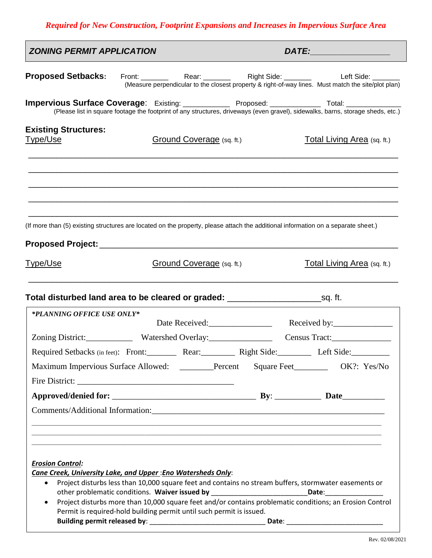# *Required for New Construction, Footprint Expansions and Increases in Impervious Surface Area*

| <b>ZONING PERMIT APPLICATION</b>                                                                                                  |                                                                      |                           |                 | DATE: ________________                                                                                                                                                                                                                |
|-----------------------------------------------------------------------------------------------------------------------------------|----------------------------------------------------------------------|---------------------------|-----------------|---------------------------------------------------------------------------------------------------------------------------------------------------------------------------------------------------------------------------------------|
| <b>Proposed Setbacks:</b>                                                                                                         |                                                                      |                           |                 | (Measure perpendicular to the closest property & right-of-way lines. Must match the site/plot plan)                                                                                                                                   |
|                                                                                                                                   |                                                                      |                           |                 | Impervious Surface Coverage: Existing: _____________ Proposed: _____________ Total: ______________<br>(Please list in square footage the footprint of any structures, driveways (even gravel), sidewalks, barns, storage sheds, etc.) |
| <b>Existing Structures:</b><br><u>Type/Use</u>                                                                                    |                                                                      | Ground Coverage (sq. ft.) |                 | Total Living Area (sq. ft.)                                                                                                                                                                                                           |
|                                                                                                                                   |                                                                      |                           |                 |                                                                                                                                                                                                                                       |
| (If more than (5) existing structures are located on the property, please attach the additional information on a separate sheet.) |                                                                      |                           |                 |                                                                                                                                                                                                                                       |
| <u>Type/Use</u>                                                                                                                   |                                                                      | Ground Coverage (sq. ft.) |                 | Total Living Area (sq. ft.)                                                                                                                                                                                                           |
|                                                                                                                                   |                                                                      |                           |                 |                                                                                                                                                                                                                                       |
| *PLANNING OFFICE USE ONLY*                                                                                                        |                                                                      |                           |                 |                                                                                                                                                                                                                                       |
|                                                                                                                                   |                                                                      |                           |                 | Date Received: Received by:                                                                                                                                                                                                           |
|                                                                                                                                   |                                                                      |                           |                 |                                                                                                                                                                                                                                       |
| Required Setbacks (in feet): Front: Rear: Right Side: Left Side:                                                                  |                                                                      |                           |                 |                                                                                                                                                                                                                                       |
|                                                                                                                                   |                                                                      |                           |                 | Maximum Impervious Surface Allowed: ______Percent Square Feet__________ OK?: Yes/No                                                                                                                                                   |
|                                                                                                                                   |                                                                      |                           |                 |                                                                                                                                                                                                                                       |
|                                                                                                                                   |                                                                      |                           |                 |                                                                                                                                                                                                                                       |
|                                                                                                                                   |                                                                      |                           |                 |                                                                                                                                                                                                                                       |
|                                                                                                                                   |                                                                      |                           |                 | ,我们也不能在这里的人,我们也不能在这里的人,我们也不能在这里的人,我们也不能在这里的人,我们也不能在这里的人,我们也不能在这里的人,我们也不能在这里的人,我们也                                                                                                                                                     |
| <b>Erosion Control:</b>                                                                                                           |                                                                      |                           |                 |                                                                                                                                                                                                                                       |
| Cane Creek, University Lake, and Upper: Eno Watersheds Only:<br>$\bullet$                                                         |                                                                      |                           |                 | Project disturbs less than 10,000 square feet and contains no stream buffers, stormwater easements or                                                                                                                                 |
|                                                                                                                                   | other problematic conditions. Waiver issued by                       |                           |                 | Date: _______________                                                                                                                                                                                                                 |
|                                                                                                                                   |                                                                      |                           |                 | Project disturbs more than 10,000 square feet and/or contains problematic conditions; an Erosion Control                                                                                                                              |
|                                                                                                                                   | Permit is required-hold building permit until such permit is issued. |                           | Date: _________ |                                                                                                                                                                                                                                       |
|                                                                                                                                   |                                                                      |                           |                 |                                                                                                                                                                                                                                       |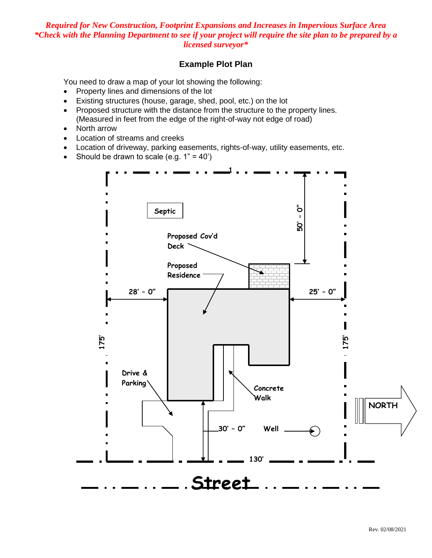# *Required for New Construction, Footprint Expansions and Increases in Impervious Surface Area \*Check with the Planning Department to see if your project will require the site plan to be prepared by a licensed surveyor\**

# **Example Plot Plan**

You need to draw a map of your lot showing the following:

- Property lines and dimensions of the lot
- Existing structures (house, garage, shed, pool, etc.) on the lot
- Proposed structure with the distance from the structure to the property lines. (Measured in feet from the edge of the right-of-way not edge of road)
- North arrow
- Location of streams and creeks
- Location of driveway, parking easements, rights-of-way, utility easements, etc.
- Should be drawn to scale (e.g.  $1" = 40'$ )

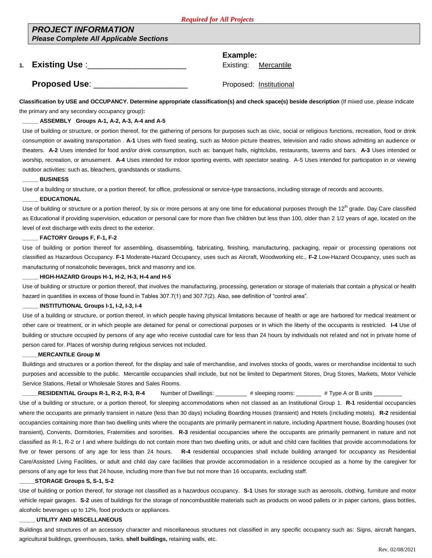### *PROJECT INFORMATION Please Complete All Applicable Sections*

**Example:**

**1. Existing Use** :\_\_\_\_\_\_\_\_\_\_\_\_\_\_\_\_\_\_\_\_\_ Existing: Mercantile

**Proposed Use**: \_\_\_\_\_\_\_\_\_\_\_\_\_\_\_\_\_\_\_\_ Proposed: Institutional

**Classification by USE and OCCUPANCY. Determine appropriate classification(s) and check space(s) beside description** (If mixed use, please indicate the primary and any secondary occupancy group)**:**

### **\_\_\_\_\_ ASSEMBLY Groups A-1, A-2, A-3, A-4 and A-5**

Use of building or structure, or portion thereof, for the gathering of persons for purposes such as civic, social or religious functions, recreation, food or drink consumption or awaiting transportation . **A-1** Uses with fixed seating, such as Motion picture theatres, television and radio shows admitting an audience or theaters. **A-2** Uses intended for food and/or drink consumption, such as: banquet halls, nightclubs, restaurants, taverns and bars. **A-3** Uses intended or worship, recreation, or amusement. **A-4** Uses intended for indoor sporting events, with spectator seating. A-5 Uses intended for participation in or viewing outdoor activities: such as, bleachers, grandstands or stadiums.

#### **\_\_\_\_\_ BUSINESS**

Use of a building or structure, or a portion thereof, for office, professional or service-type transactions, including storage of records and accounts.

### **\_\_\_\_\_ EDUCATIONAL**

Use of building or structure or a portion thereof, by six or more persons at any one time for educational purposes through the 12<sup>th</sup> grade. Day Care classified as Educational if providing supervision, education or personal care for more than five children but less than 100, older than 2 1/2 years of age, located on the level of exit discharge with exits direct to the exterior.

### **\_\_\_\_\_ FACTORY Groups F, F-1, F-2**

Use of building or portion thereof for assembling, disassembling, fabricating, finishing, manufacturing, packaging, repair or processing operations not classified as Hazardous Occupancy. **F-1** Moderate-Hazard Occupancy, uses such as Aircraft, Woodworking etc., **F-2** Low-Hazard Occupancy, uses such as manufacturing of nonalcoholic beverages, brick and masonry and ice.

### **\_\_\_\_\_ HIGH-HAZARD Groups H-1, H-2, H-3, H-4 and H-5**

Use of building or structure or portion thereof, that involves the manufacturing, processing, generation or storage of materials that contain a physical or health hazard in quantities in excess of those found in Tables 307.7(1) and 307.7(2). Also, see definition of "control area".

#### **\_\_\_\_\_ INSTITUTIONAL Groups I-1, I-2, I-3, I-4**

Use of a building or structure, or portion thereof, in which people having physical limitations because of health or age are harbored for medical treatment or other care or treatment, or in which people are detained for penal or correctional purposes or in which the liberty of the occupants is restricted. **I-4** Use of building or structure occupied by persons of any age who receive custodial care for less than 24 hours by individuals not related and not in private home of person cared for. Places of worship during religious services not included.

#### **\_\_\_\_\_MERCANTILE Group M**

Buildings and structures or a portion thereof, for the display and sale of merchandise, and involves stocks of goods, wares or merchandise incidental to such purposes and accessible to the public. Mercantile occupancies shall include, but not be limited to Department Stores, Drug Stores, Markets, Motor Vehicle Service Stations, Retail or Wholesale Stores and Sales Rooms.

**RESIDENTIAL Groups R-1, R-2, R-3, R-4** Number of Dwellings: \_\_\_\_\_\_\_\_ # sleeping rooms: \_\_\_\_\_\_\_ # Type A or B units Use of a building or structure, or a portion thereof, for sleeping accommodations when not classed as an Institutional Group 1. **R-1** residential occupancies where the occupants are primarily transient in nature (less than 30 days) including Boarding Houses (transient) and Hotels (including motels). **R-2** residential occupancies containing more than two dwelling units where the occupants are primarily permanent in nature, including Apartment house, Boarding houses (not transient), Convents, Dormitories, Fraternities and sororities. **R-3** residential occupancies where the occupants are primarily permanent in nature and not classified as R-1, R-2 or I and where buildings do not contain more than two dwelling units, or adult and child care facilities that provide accommodations for five or fewer persons of any age for less than 24 hours. **R-4** residential occupancies shall include building arranged for occupancy as Residential Care/Assisted Living Facilities, or adult and child day care facilities that provide accommodation in a residence occupied as a home by the caregiver for persons of any age for less that 24 house, including more than five but not more than 16 occupants, excluding staff.

### **\_\_\_\_\_STORAGE Groups S, S-1, S-2**

Use of building or portion thereof, for storage not classified as a hazardous occupancy. **S-1** Uses for storage such as aerosols, clothing, furniture and motor vehicle repair garages. **S-2** uses of buildings for the storage of noncombustible materials such as products on wood pallets or in paper cartons, glass bottles, alcoholic beverages up to 12%, food products or appliances.

### **\_\_\_\_\_ UTILITY AND MISCELLANEOUS**

Buildings and structures of an accessory character and miscellaneous structures not classified in any specific occupancy such as: Signs, aircraft hangars, agricultural buildings, greenhouses, tanks, **shell buildings,** retaining walls, etc.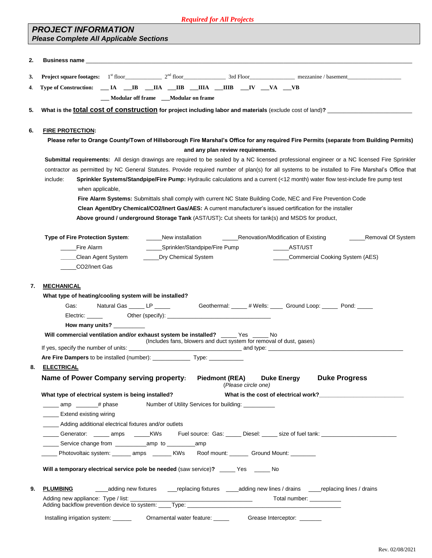### *Required for All Projects*

# *PROJECT INFORMATION Please Complete All Applicable Sections*

|          | <b>Business name <i>CONSIDERATION</i> <b><i>CONSIDERATION CONSIDERATION</i></b></b>                                                                                                                                          |
|----------|------------------------------------------------------------------------------------------------------------------------------------------------------------------------------------------------------------------------------|
| 3.       |                                                                                                                                                                                                                              |
| 4.       | Type of Construction: __ IA __IB __IIA __IIB __IIIA __IIIB __IV __VA __VB                                                                                                                                                    |
|          | __ Modular off frame __ Modular on frame                                                                                                                                                                                     |
| 5.       | What is the total cost of construction for project including labor and materials (exclude cost of land)?                                                                                                                     |
|          |                                                                                                                                                                                                                              |
| 6.       | <b>FIRE PROTECTION:</b>                                                                                                                                                                                                      |
|          | Please refer to Orange County/Town of Hillsborough Fire Marshal's Office for any required Fire Permits (separate from Building Permits)                                                                                      |
|          | and any plan review requirements.                                                                                                                                                                                            |
|          | Submittal requirements: All design drawings are required to be sealed by a NC licensed professional engineer or a NC licensed Fire Sprinkler                                                                                 |
|          | contractor as permitted by NC General Statutes. Provide required number of plan(s) for all systems to be installed to Fire Marshal's Office that                                                                             |
|          | Sprinkler Systems/Standpipe/Fire Pump: Hydraulic calculations and a current (<12 month) water flow test-include fire pump test<br>include:                                                                                   |
|          | when applicable,                                                                                                                                                                                                             |
|          | Fire Alarm Systems: Submittals shall comply with current NC State Building Code, NEC and Fire Prevention Code<br>Clean Agent/Dry Chemical/CO2/Inert Gas/AES: A current manufacturer's issued certification for the installer |
|          | Above ground / underground Storage Tank (AST/UST): Cut sheets for tank(s) and MSDS for product,                                                                                                                              |
|          |                                                                                                                                                                                                                              |
|          | Type of Fire Protection System:<br>New installation ________________Renovation/Modification of Existing _____________Removal Of System                                                                                       |
|          | Fire Alarm<br>_____Sprinkler/Standpipe/Fire Pump<br>______AST/UST                                                                                                                                                            |
|          | _____Dry Chemical System<br>___Clean Agent System<br>_Commercial Cooking System (AES)                                                                                                                                        |
|          | CO2/Inert Gas                                                                                                                                                                                                                |
|          | <b>MECHANICAL</b><br>What type of heating/cooling system will be installed?                                                                                                                                                  |
| 7.       | Natural Gas ______ LP ______ Geothermal: _____ # Wells: _____ Ground Loop: _____ Pond: _____<br>Gas:                                                                                                                         |
|          | How many units? __________                                                                                                                                                                                                   |
|          | Will commercial ventilation and/or exhaust system be installed? _____ Yes _____ No<br>(Includes fans, blowers and duct system for removal of dust, gases)                                                                    |
|          |                                                                                                                                                                                                                              |
|          | Are Fire Dampers to be installed (number): Type: Type:                                                                                                                                                                       |
|          | <u>ELECTRICAL</u><br>Name of Power Company serving property:<br><b>Duke Progress</b><br><b>Piedmont (REA)</b><br><b>Duke Energy</b><br>(Please circle one)                                                                   |
|          | What is the cost of electrical work?<br>The matrix of the cost of electrical work?<br>What type of electrical system is being installed?                                                                                     |
|          | $\frac{1}{2}$ amp $\frac{1}{2}$ # phase<br>Number of Utility Services for building: _________                                                                                                                                |
|          | _____ Extend existing wiring                                                                                                                                                                                                 |
|          | _____ Adding additional electrical fixtures and/or outlets                                                                                                                                                                   |
|          | _____ Generator: _____ amps  _____KWs   Fuel source: Gas: _____ Diesel: _____ size of fuel tank: ______________                                                                                                              |
|          |                                                                                                                                                                                                                              |
|          | ____ Photovoltaic system: ______ amps ______ KWs Roof mount: ______ Ground Mount: _______                                                                                                                                    |
|          | Will a temporary electrical service pole be needed (saw service)? _____ Yes _____ No                                                                                                                                         |
| 8.<br>9. | <b>PLUMBING</b>                                                                                                                                                                                                              |
|          | Total number: ___________                                                                                                                                                                                                    |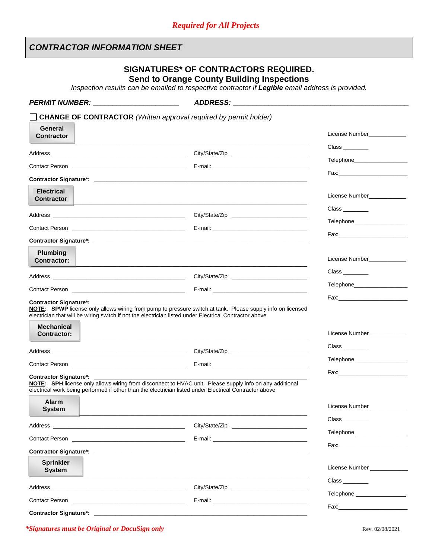# *CONTRACTOR INFORMATION SHEET*

# **SIGNATURES\* OF CONTRACTORS REQUIRED. Send to Orange County Building Inspections**

*Inspection results can be emailed to respective contractor if Legible email address is provided.* 

| <b>PERMIT NUMBER:</b>                                                                                                                                                                                                          | <b>ADDRESS:</b>                                                                                                                                                                                                                |                                                                                                                                                                                                                                |
|--------------------------------------------------------------------------------------------------------------------------------------------------------------------------------------------------------------------------------|--------------------------------------------------------------------------------------------------------------------------------------------------------------------------------------------------------------------------------|--------------------------------------------------------------------------------------------------------------------------------------------------------------------------------------------------------------------------------|
|                                                                                                                                                                                                                                | <b>CHANGE OF CONTRACTOR</b> (Written approval required by permit holder)                                                                                                                                                       |                                                                                                                                                                                                                                |
| General<br><b>Contractor</b>                                                                                                                                                                                                   |                                                                                                                                                                                                                                | License Number____________                                                                                                                                                                                                     |
|                                                                                                                                                                                                                                |                                                                                                                                                                                                                                |                                                                                                                                                                                                                                |
|                                                                                                                                                                                                                                |                                                                                                                                                                                                                                |                                                                                                                                                                                                                                |
|                                                                                                                                                                                                                                |                                                                                                                                                                                                                                |                                                                                                                                                                                                                                |
| <b>Electrical</b><br><b>Contractor</b>                                                                                                                                                                                         |                                                                                                                                                                                                                                | License Number                                                                                                                                                                                                                 |
|                                                                                                                                                                                                                                |                                                                                                                                                                                                                                | $Class$ <sub>__________</sub>                                                                                                                                                                                                  |
|                                                                                                                                                                                                                                |                                                                                                                                                                                                                                |                                                                                                                                                                                                                                |
|                                                                                                                                                                                                                                |                                                                                                                                                                                                                                |                                                                                                                                                                                                                                |
| Plumbing<br><b>Contractor:</b>                                                                                                                                                                                                 |                                                                                                                                                                                                                                | License Number___________                                                                                                                                                                                                      |
|                                                                                                                                                                                                                                |                                                                                                                                                                                                                                | $Class$ <sub>____________</sub>                                                                                                                                                                                                |
|                                                                                                                                                                                                                                | E-mail: <u>Contract Communication</u>                                                                                                                                                                                          |                                                                                                                                                                                                                                |
| <b>Contractor Signature*:</b><br><b>Mechanical</b>                                                                                                                                                                             | NOTE: SPWP license only allows wiring from pump to pressure switch at tank. Please supply info on licensed<br>electrician that will be wiring switch if not the electrician listed under Electrical Contractor above           |                                                                                                                                                                                                                                |
| <b>Contractor:</b>                                                                                                                                                                                                             |                                                                                                                                                                                                                                | License Number ____________                                                                                                                                                                                                    |
|                                                                                                                                                                                                                                |                                                                                                                                                                                                                                | $Class$ <sub>__________</sub>                                                                                                                                                                                                  |
|                                                                                                                                                                                                                                |                                                                                                                                                                                                                                | Telephone _____________________                                                                                                                                                                                                |
| Contractor Signature*: _________                                                                                                                                                                                               | NOTE: SPH license only allows wiring from disconnect to HVAC unit. Please supply info on any additional<br>electrical work being performed if other than the electrician listed under Electrical Contractor above              |                                                                                                                                                                                                                                |
| <b>Alarm</b><br><b>System</b>                                                                                                                                                                                                  |                                                                                                                                                                                                                                | License Number ____________                                                                                                                                                                                                    |
|                                                                                                                                                                                                                                |                                                                                                                                                                                                                                | $Class$ <sub>_____________</sub>                                                                                                                                                                                               |
| Contact Person <b>Contact Person</b>                                                                                                                                                                                           | E-mail: E-mail: E-mail: E-mail: E-mail: E-mail: E-mail: E-mail: E-mail: E-mail: E-mail: E-mail: E-mail: E-mail: E-mail: E-mail: E-mail: E-mail: E-mail: E-mail: E-mail: E-mail: E-mail: E-mail: E-mail: E-mail: E-mail: E-mail | Telephone ___________________                                                                                                                                                                                                  |
|                                                                                                                                                                                                                                |                                                                                                                                                                                                                                | Fax: The contract of the contract of the contract of the contract of the contract of the contract of the contract of the contract of the contract of the contract of the contract of the contract of the contract of the contr |
| <b>Sprinkler</b><br><b>System</b>                                                                                                                                                                                              |                                                                                                                                                                                                                                | License Number _____________                                                                                                                                                                                                   |
| Address and the contract of the contract of the contract of the contract of the contract of the contract of the contract of the contract of the contract of the contract of the contract of the contract of the contract of th |                                                                                                                                                                                                                                | $Class$ <sub>__________</sub>                                                                                                                                                                                                  |
| Contact Person <b>Contact Person</b>                                                                                                                                                                                           |                                                                                                                                                                                                                                | Telephone ___________________                                                                                                                                                                                                  |
| <b>Contractor Signature*:</b>                                                                                                                                                                                                  |                                                                                                                                                                                                                                |                                                                                                                                                                                                                                |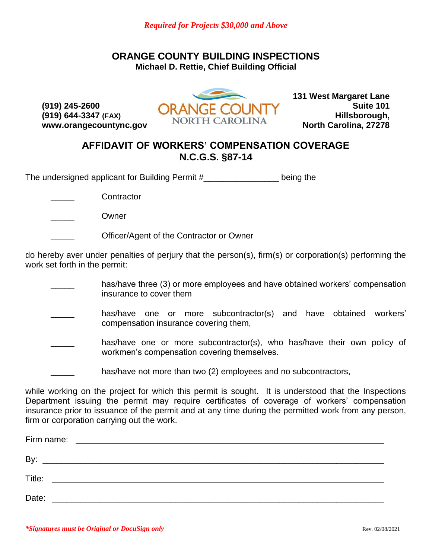# **ORANGE COUNTY BUILDING INSPECTIONS Michael D. Rettie, Chief Building Official**

**(919) 245-2600 (919) 644-3347 (FAX) www.orangecountync.gov**



**131 West Margaret Lane Suite 101 Hillsborough, North Carolina, 27278**

# **AFFIDAVIT OF WORKERS' COMPENSATION COVERAGE N.C.G.S. §87-14**

The undersigned applicant for Building Permit #\_\_\_\_\_\_\_\_\_\_\_\_\_\_\_\_ being the

\_\_\_\_\_ Contractor

\_\_\_\_\_ Owner

\_\_\_\_\_ Officer/Agent of the Contractor or Owner

do hereby aver under penalties of perjury that the person(s), firm(s) or corporation(s) performing the work set forth in the permit:

- has/have three (3) or more employees and have obtained workers' compensation insurance to cover them
- has/have one or more subcontractor(s) and have obtained workers' compensation insurance covering them,
- has/have one or more subcontractor(s), who has/have their own policy of workmen's compensation covering themselves.
- has/have not more than two (2) employees and no subcontractors,

while working on the project for which this permit is sought. It is understood that the Inspections Department issuing the permit may require certificates of coverage of workers' compensation insurance prior to issuance of the permit and at any time during the permitted work from any person, firm or corporation carrying out the work.

| Firm name: |                                                      |  |  |  |
|------------|------------------------------------------------------|--|--|--|
| By         |                                                      |  |  |  |
| Title:     |                                                      |  |  |  |
| Date:      | <u> 2001 - Jan Barnett, fransk politik (d. 1882)</u> |  |  |  |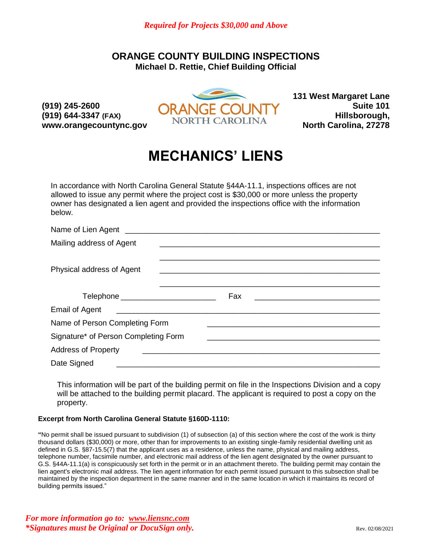# **ORANGE COUNTY BUILDING INSPECTIONS Michael D. Rettie, Chief Building Official**

**(919) 245-2600 (919) 644-3347 (FAX) www.orangecountync.gov**



**131 West Margaret Lane Suite 101 Hillsborough, North Carolina, 27278**

# **MECHANICS' LIENS**

In accordance with North Carolina General Statute §44A-11.1, inspections offices are not allowed to issue any permit where the project cost is \$30,000 or more unless the property owner has designated a lien agent and provided the inspections office with the information below.

| Mailing address of Agent                |                                                                                                                             |
|-----------------------------------------|-----------------------------------------------------------------------------------------------------------------------------|
|                                         |                                                                                                                             |
| Physical address of Agent               |                                                                                                                             |
|                                         |                                                                                                                             |
| Telephone _____________________________ | Fax<br><u> 1980 - Jan Berlin, margaret biskup biskup og bruger og det blev blev og bruger og det blev blev og bruger og</u> |
| Email of Agent ________________         |                                                                                                                             |
| Name of Person Completing Form          |                                                                                                                             |
| Signature* of Person Completing Form    |                                                                                                                             |
| <b>Address of Property</b>              | <u> 1980 - Jan Berlin, margaret amerikan beste beste beste beste beste beste beste beste beste beste beste beste</u>        |
| Date Signed                             |                                                                                                                             |

This information will be part of the building permit on file in the Inspections Division and a copy will be attached to the building permit placard. The applicant is required to post a copy on the property.

### **Excerpt from North Carolina General Statute §160D-1110:**

**"**No permit shall be issued pursuant to subdivision (1) of subsection (a) of this section where the cost of the work is thirty thousand dollars (\$30,000) or more, other than for improvements to an existing single-family residential dwelling unit as defined in G.S. §87-15.5(7) that the applicant uses as a residence, unless the name, physical and mailing address, telephone number, facsimile number, and electronic mail address of the lien agent designated by the owner pursuant to G.S. §44A-11.1(a) is conspicuously set forth in the permit or in an attachment thereto. The building permit may contain the lien agent's electronic mail address. The lien agent information for each permit issued pursuant to this subsection shall be maintained by the inspection department in the same manner and in the same location in which it maintains its record of building permits issued."

*For more information go to: www.liensnc.com \*Signatures must be Original or DocuSign only.* **The set of the set of the set of the set of the set of the set of the set of the set of the set of the set of the set of the set of the set of the set of the set of the set**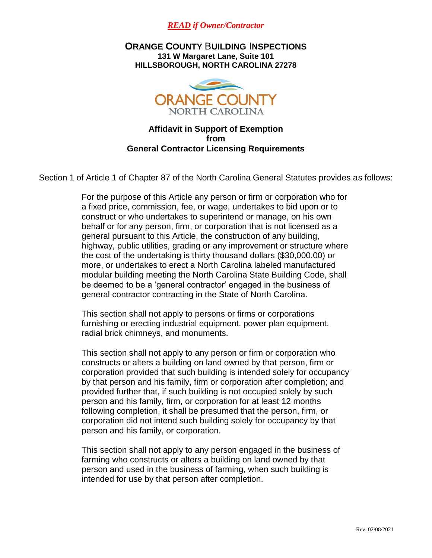

**ORANGE COUNTY** B**UILDING** I**NSPECTIONS 131 W Margaret Lane, Suite 101 HILLSBOROUGH, NORTH CAROLINA 27278**



# **Affidavit in Support of Exemption from General Contractor Licensing Requirements**

Section 1 of Article 1 of Chapter 87 of the North Carolina General Statutes provides as follows:

For the purpose of this Article any person or firm or corporation who for a fixed price, commission, fee, or wage, undertakes to bid upon or to construct or who undertakes to superintend or manage, on his own behalf or for any person, firm, or corporation that is not licensed as a general pursuant to this Article, the construction of any building, highway, public utilities, grading or any improvement or structure where the cost of the undertaking is thirty thousand dollars (\$30,000.00) or more, or undertakes to erect a North Carolina labeled manufactured modular building meeting the North Carolina State Building Code, shall be deemed to be a 'general contractor' engaged in the business of general contractor contracting in the State of North Carolina.

This section shall not apply to persons or firms or corporations furnishing or erecting industrial equipment, power plan equipment, radial brick chimneys, and monuments.

This section shall not apply to any person or firm or corporation who constructs or alters a building on land owned by that person, firm or corporation provided that such building is intended solely for occupancy by that person and his family, firm or corporation after completion; and provided further that, if such building is not occupied solely by such person and his family, firm, or corporation for at least 12 months following completion, it shall be presumed that the person, firm, or corporation did not intend such building solely for occupancy by that person and his family, or corporation.

This section shall not apply to any person engaged in the business of farming who constructs or alters a building on land owned by that person and used in the business of farming, when such building is intended for use by that person after completion.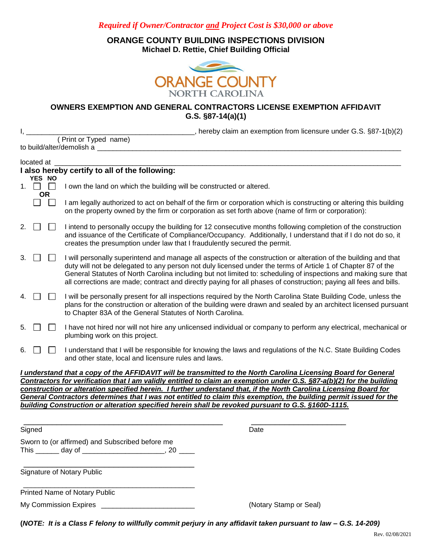*Required if Owner/Contractor and Project Cost is \$30,000 or above*

**ORANGE COUNTY BUILDING INSPECTIONS DIVISION Michael D. Rettie, Chief Building Official**



**OWNERS EXEMPTION AND GENERAL CONTRACTORS LICENSE EXEMPTION AFFIDAVIT G.S. §87-14(a)(1)**

I, \_\_\_\_\_\_\_\_\_\_\_\_\_\_\_\_\_\_\_\_\_\_\_\_\_\_\_\_\_\_\_\_\_\_\_\_\_\_\_\_\_\_\_, hereby claim an exemption from licensure under G.S. §87-1(b)(2) ( Print or Typed name) to build/alter/demolish a

|    | located at                 |           |                                                                                                                                                                                                                                                                                                                                                                                                                                                                                                                                                                                           |  |
|----|----------------------------|-----------|-------------------------------------------------------------------------------------------------------------------------------------------------------------------------------------------------------------------------------------------------------------------------------------------------------------------------------------------------------------------------------------------------------------------------------------------------------------------------------------------------------------------------------------------------------------------------------------------|--|
|    |                            |           | I also hereby certify to all of the following:                                                                                                                                                                                                                                                                                                                                                                                                                                                                                                                                            |  |
|    | YES NO<br>1. $\Box$ $\Box$ | <b>OR</b> | I own the land on which the building will be constructed or altered.                                                                                                                                                                                                                                                                                                                                                                                                                                                                                                                      |  |
|    |                            | $\Box$    | I am legally authorized to act on behalf of the firm or corporation which is constructing or altering this building<br>on the property owned by the firm or corporation as set forth above (name of firm or corporation):                                                                                                                                                                                                                                                                                                                                                                 |  |
| 2. |                            |           | I intend to personally occupy the building for 12 consecutive months following completion of the construction<br>and issuance of the Certificate of Compliance/Occupancy. Additionally, I understand that if I do not do so, it<br>creates the presumption under law that I fraudulently secured the permit.                                                                                                                                                                                                                                                                              |  |
| 3. |                            |           | I will personally superintend and manage all aspects of the construction or alteration of the building and that<br>duty will not be delegated to any person not duly licensed under the terms of Article 1 of Chapter 87 of the<br>General Statutes of North Carolina including but not limited to: scheduling of inspections and making sure that<br>all corrections are made; contract and directly paying for all phases of construction; paying all fees and bills.                                                                                                                   |  |
| 4. |                            |           | I will be personally present for all inspections required by the North Carolina State Building Code, unless the<br>plans for the construction or alteration of the building were drawn and sealed by an architect licensed pursuant<br>to Chapter 83A of the General Statutes of North Carolina.                                                                                                                                                                                                                                                                                          |  |
| 5. |                            |           | I have not hired nor will not hire any unlicensed individual or company to perform any electrical, mechanical or<br>plumbing work on this project.                                                                                                                                                                                                                                                                                                                                                                                                                                        |  |
| 6. |                            |           | I understand that I will be responsible for knowing the laws and regulations of the N.C. State Building Codes<br>and other state, local and licensure rules and laws.                                                                                                                                                                                                                                                                                                                                                                                                                     |  |
|    |                            |           | I understand that a copy of the AFFIDAVIT will be transmitted to the North Carolina Licensing Board for General<br>Contractors for verification that I am validly entitled to claim an exemption under G.S. §87-a(b)(2) for the building<br>construction or alteration specified herein. I further understand that, if the North Carolina Licensing Board for<br>General Contractors determines that I was not entitled to claim this exemption, the building permit issued for the<br>building Construction or alteration specified herein shall be revoked pursuant to G.S. §160D-1115. |  |
|    | Signed                     |           | Date                                                                                                                                                                                                                                                                                                                                                                                                                                                                                                                                                                                      |  |
|    |                            |           | Sworn to (or affirmed) and Subscribed before me<br>This _______ day of __________________________, 20 _____                                                                                                                                                                                                                                                                                                                                                                                                                                                                               |  |
|    |                            |           | <b>Signature of Notary Public</b>                                                                                                                                                                                                                                                                                                                                                                                                                                                                                                                                                         |  |
|    |                            |           | Printed Name of Notary Public                                                                                                                                                                                                                                                                                                                                                                                                                                                                                                                                                             |  |
|    |                            |           | My Commission Expires<br>(Notary Stamp or Seal)                                                                                                                                                                                                                                                                                                                                                                                                                                                                                                                                           |  |
|    |                            |           |                                                                                                                                                                                                                                                                                                                                                                                                                                                                                                                                                                                           |  |

**(***NOTE: It is a Class F felony to willfully commit perjury in any affidavit taken pursuant to law – G.S. 14-209)*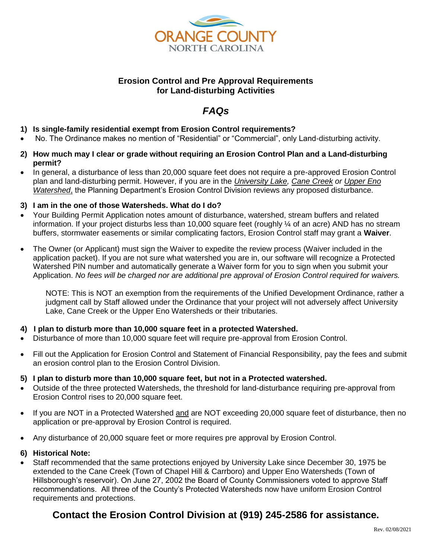

# **Erosion Control and Pre Approval Requirements for Land-disturbing Activities**

# *FAQs*

- **1) Is single-family residential exempt from Erosion Control requirements?**
- No. The Ordinance makes no mention of "Residential" or "Commercial", only Land-disturbing activity.
- **2) How much may I clear or grade without requiring an Erosion Control Plan and a Land-disturbing permit?**
- In general, a disturbance of less than 20,000 square feet does not require a pre-approved Erosion Control plan and land-disturbing permit. However, if you are in the *University Lake, Cane Creek or Upper Eno Watershed*, the Planning Department's Erosion Control Division reviews any proposed disturbance.

## **3) I am in the one of those Watersheds. What do I do?**

- Your Building Permit Application notes amount of disturbance, watershed, stream buffers and related information. If your project disturbs less than 10,000 square feet (roughly ¼ of an acre) AND has no stream buffers, stormwater easements or similar complicating factors, Erosion Control staff may grant a **Waiver**.
- The Owner (or Applicant) must sign the Waiver to expedite the review process (Waiver included in the application packet). If you are not sure what watershed you are in, our software will recognize a Protected Watershed PIN number and automatically generate a Waiver form for you to sign when you submit your Application. *No fees will be charged nor are additional pre approval of Erosion Control required for waivers.*

NOTE: This is NOT an exemption from the requirements of the Unified Development Ordinance, rather a judgment call by Staff allowed under the Ordinance that your project will not adversely affect University Lake, Cane Creek or the Upper Eno Watersheds or their tributaries.

# **4) I plan to disturb more than 10,000 square feet in a protected Watershed.**

- Disturbance of more than 10,000 square feet will require pre-approval from Erosion Control.
- Fill out the Application for Erosion Control and Statement of Financial Responsibility, pay the fees and submit an erosion control plan to the Erosion Control Division.

### **5) I plan to disturb more than 10,000 square feet, but not in a Protected watershed.**

- Outside of the three protected Watersheds, the threshold for land-disturbance requiring pre-approval from Erosion Control rises to 20,000 square feet.
- If you are NOT in a Protected Watershed and are NOT exceeding 20,000 square feet of disturbance, then no application or pre-approval by Erosion Control is required.
- Any disturbance of 20,000 square feet or more requires pre approval by Erosion Control.

### **6) Historical Note:**

 Staff recommended that the same protections enjoyed by University Lake since December 30, 1975 be extended to the Cane Creek (Town of Chapel Hill & Carrboro) and Upper Eno Watersheds (Town of Hillsborough's reservoir). On June 27, 2002 the Board of County Commissioners voted to approve Staff recommendations. All three of the County's Protected Watersheds now have uniform Erosion Control requirements and protections.

# **Contact the Erosion Control Division at (919) 245-2586 for assistance.**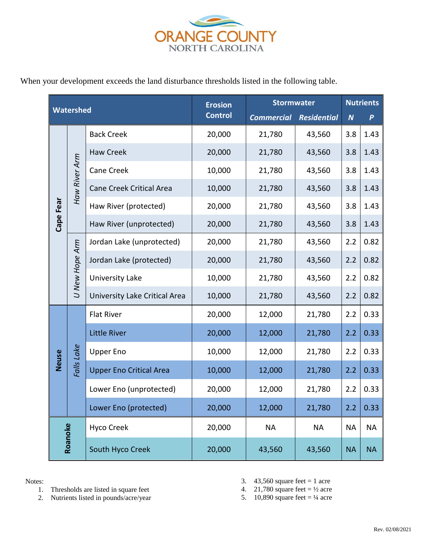

When your development exceeds the land disturbance thresholds listed in the following table.

| <b>Watershed</b> |                | <b>Erosion</b>                  | <b>Stormwater</b> |                   | <b>Nutrients</b>   |                  |                  |
|------------------|----------------|---------------------------------|-------------------|-------------------|--------------------|------------------|------------------|
|                  |                |                                 | <b>Control</b>    | <b>Commercial</b> | <b>Residential</b> | $\boldsymbol{N}$ | $\boldsymbol{P}$ |
|                  |                | <b>Back Creek</b>               | 20,000            | 21,780            | 43,560             | 3.8              | 1.43             |
|                  |                | <b>Haw Creek</b>                | 20,000            | 21,780            | 43,560             | 3.8              | 1.43             |
|                  |                | Cane Creek                      | 10,000            | 21,780            | 43,560             | 3.8              | 1.43             |
|                  | Haw River Arm  | <b>Cane Creek Critical Area</b> | 10,000            | 21,780            | 43,560             | 3.8              | 1.43             |
| Cape Fear        |                | Haw River (protected)           | 20,000            | 21,780            | 43,560             | 3.8              | 1.43             |
|                  |                | Haw River (unprotected)         | 20,000            | 21,780            | 43,560             | 3.8              | 1.43             |
|                  |                | Jordan Lake (unprotected)       | 20,000            | 21,780            | 43,560             | 2.2              | 0.82             |
|                  |                | Jordan Lake (protected)         | 20,000            | 21,780            | 43,560             | 2.2              | 0.82             |
|                  | U New Hope Arm | <b>University Lake</b>          | 10,000            | 21,780            | 43,560             | 2.2              | 0.82             |
|                  |                | University Lake Critical Area   | 10,000            | 21,780            | 43,560             | 2.2              | 0.82             |
|                  |                | <b>Flat River</b>               | 20,000            | 12,000            | 21,780             | 2.2              | 0.33             |
|                  |                | <b>Little River</b>             | 20,000            | 12,000            | 21,780             | 2.2              | 0.33             |
|                  |                | <b>Upper Eno</b>                | 10,000            | 12,000            | 21,780             | 2.2              | 0.33             |
| Neuse            | Falls Lake     | <b>Upper Eno Critical Area</b>  | 10,000            | 12,000            | 21,780             | 2.2              | 0.33             |
|                  |                | Lower Eno (unprotected)         | 20,000            | 12,000            | 21,780             | 2.2              | 0.33             |
|                  |                | Lower Eno (protected)           | 20,000            | 12,000            | 21,780             | 2.2              | 0.33             |
|                  |                | <b>Hyco Creek</b>               | 20,000            | <b>NA</b>         | <b>NA</b>          | <b>NA</b>        | <b>NA</b>        |
| Roanoke          |                | South Hyco Creek                | 20,000            | 43,560            | 43,560             | <b>NA</b>        | <b>NA</b>        |

Notes:

- 1. Thresholds are listed in square feet
- 2. Nutrients listed in pounds/acre/year
- 3. 43,560 square feet  $= 1$  acre
- 4. 21,780 square feet  $= \frac{1}{2}$  acre

5. 10,890 square feet =  $\frac{1}{4}$  acre